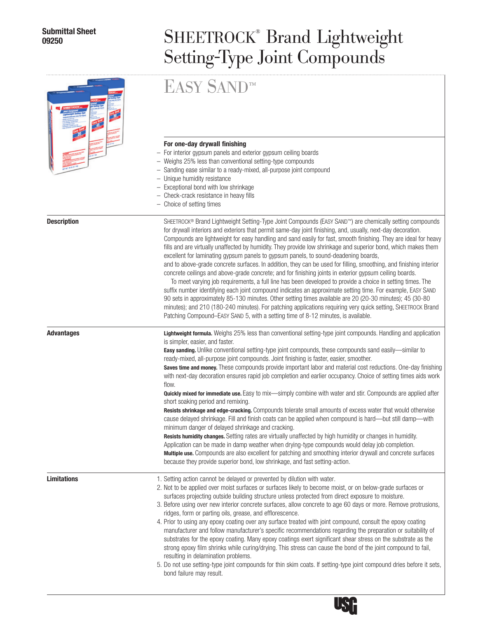## Submittal Sheet<br>09250

# <sup>09250</sup> Sheetrock® Brand Lightweight Setting-Type Joint Compounds

|                    | EASY SAND™<br>For one-day drywall finishing<br>- For interior gypsum panels and exterior gypsum ceiling boards<br>- Weighs 25% less than conventional setting-type compounds<br>- Sanding ease similar to a ready-mixed, all-purpose joint compound<br>- Unique humidity resistance<br>- Exceptional bond with low shrinkage<br>- Check-crack resistance in heavy fills<br>- Choice of setting times                                                                                                                                                                                                                                                                                                                                                                                                                                                                                                                                                                                                                                                                                                                                                                                                                                                                                                                                                                                                                                                      |
|--------------------|-----------------------------------------------------------------------------------------------------------------------------------------------------------------------------------------------------------------------------------------------------------------------------------------------------------------------------------------------------------------------------------------------------------------------------------------------------------------------------------------------------------------------------------------------------------------------------------------------------------------------------------------------------------------------------------------------------------------------------------------------------------------------------------------------------------------------------------------------------------------------------------------------------------------------------------------------------------------------------------------------------------------------------------------------------------------------------------------------------------------------------------------------------------------------------------------------------------------------------------------------------------------------------------------------------------------------------------------------------------------------------------------------------------------------------------------------------------|
| <b>Description</b> | SHEETROCK® Brand Lightweight Setting-Type Joint Compounds (EASY SAND™) are chemically setting compounds<br>for drywall interiors and exteriors that permit same-day joint finishing, and, usually, next-day decoration.<br>Compounds are lightweight for easy handling and sand easily for fast, smooth finishing. They are ideal for heavy<br>fills and are virtually unaffected by humidity. They provide low shrinkage and superior bond, which makes them<br>excellent for laminating gypsum panels to gypsum panels, to sound-deadening boards,<br>and to above-grade concrete surfaces. In addition, they can be used for filling, smoothing, and finishing interior<br>concrete ceilings and above-grade concrete; and for finishing joints in exterior gypsum ceiling boards.<br>To meet varying job requirements, a full line has been developed to provide a choice in setting times. The<br>suffix number identifying each joint compound indicates an approximate setting time. For example, EASY SAND<br>90 sets in approximately 85-130 minutes. Other setting times available are 20 (20-30 minutes); 45 (30-80<br>minutes); and 210 (180-240 minutes). For patching applications requiring very quick setting, SHEETROCK Brand<br>Patching Compound-EASY SAND 5, with a setting time of 8-12 minutes, is available.                                                                                                                       |
| <b>Advantages</b>  | Lightweight formula. Weighs 25% less than conventional setting-type joint compounds. Handling and application<br>is simpler, easier, and faster.<br>Easy sanding. Unlike conventional setting-type joint compounds, these compounds sand easily-similar to<br>ready-mixed, all-purpose joint compounds. Joint finishing is faster, easier, smoother.<br>Saves time and money. These compounds provide important labor and material cost reductions. One-day finishing<br>with next-day decoration ensures rapid job completion and earlier occupancy. Choice of setting times aids work<br>flow.<br><b>Quickly mixed for immediate use.</b> Easy to mix-simply combine with water and stir. Compounds are applied after<br>short soaking period and remixing.<br>Resists shrinkage and edge-cracking. Compounds tolerate small amounts of excess water that would otherwise<br>cause delayed shrinkage. Fill and finish coats can be applied when compound is hard—but still damp—with<br>minimum danger of delayed shrinkage and cracking.<br>Resists humidity changes. Setting rates are virtually unaffected by high humidity or changes in humidity.<br>Application can be made in damp weather when drying-type compounds would delay job completion.<br>Multiple use. Compounds are also excellent for patching and smoothing interior drywall and concrete surfaces<br>because they provide superior bond, low shrinkage, and fast setting-action. |
| <b>Limitations</b> | 1. Setting action cannot be delayed or prevented by dilution with water.<br>2. Not to be applied over moist surfaces or surfaces likely to become moist, or on below-grade surfaces or<br>surfaces projecting outside building structure unless protected from direct exposure to moisture.<br>3. Before using over new interior concrete surfaces, allow concrete to age 60 days or more. Remove protrusions,<br>ridges, form or parting oils, grease, and efflorescence.<br>4. Prior to using any epoxy coating over any surface treated with joint compound, consult the epoxy coating<br>manufacturer and follow manufacturer's specific recommendations regarding the preparation or suitability of<br>substrates for the epoxy coating. Many epoxy coatings exert significant shear stress on the substrate as the<br>strong epoxy film shrinks while curing/drying. This stress can cause the bond of the joint compound to fail,<br>resulting in delamination problems.<br>5. Do not use setting-type joint compounds for thin skim coats. If setting-type joint compound dries before it sets,<br>bond failure may result.                                                                                                                                                                                                                                                                                                                       |

**USG**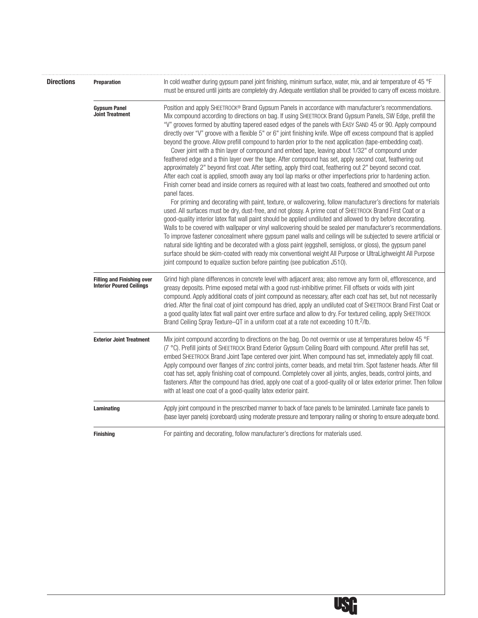| <b>Directions</b> | Preparation                                                          | In cold weather during gypsum panel joint finishing, minimum surface, water, mix, and air temperature of 45 °F<br>must be ensured until joints are completely dry. Adequate ventilation shall be provided to carry off excess moisture.                                                                                                                                                                                                                                                                                                                                                                                                                                                                                                                                                                                                                                                                                                                                                                                                                                                                                                                                                                                                                                                                                                                                                                                                                                                                                                                                                                                                                                                                                                                                                                                                                                                                                                                                                                                                     |
|-------------------|----------------------------------------------------------------------|---------------------------------------------------------------------------------------------------------------------------------------------------------------------------------------------------------------------------------------------------------------------------------------------------------------------------------------------------------------------------------------------------------------------------------------------------------------------------------------------------------------------------------------------------------------------------------------------------------------------------------------------------------------------------------------------------------------------------------------------------------------------------------------------------------------------------------------------------------------------------------------------------------------------------------------------------------------------------------------------------------------------------------------------------------------------------------------------------------------------------------------------------------------------------------------------------------------------------------------------------------------------------------------------------------------------------------------------------------------------------------------------------------------------------------------------------------------------------------------------------------------------------------------------------------------------------------------------------------------------------------------------------------------------------------------------------------------------------------------------------------------------------------------------------------------------------------------------------------------------------------------------------------------------------------------------------------------------------------------------------------------------------------------------|
|                   | <b>Gypsum Panel</b><br><b>Joint Treatment</b>                        | Position and apply SHEETROCK® Brand Gypsum Panels in accordance with manufacturer's recommendations.<br>Mix compound according to directions on bag. If using SHEETROCK Brand Gypsum Panels, SW Edge, prefill the<br>"V" grooves formed by abutting tapered eased edges of the panels with EASY SAND 45 or 90. Apply compound<br>directly over "V" groove with a flexible 5" or 6" joint finishing knife. Wipe off excess compound that is applied<br>beyond the groove. Allow prefill compound to harden prior to the next application (tape-embedding coat).<br>Cover joint with a thin layer of compound and embed tape, leaving about 1/32" of compound under<br>feathered edge and a thin layer over the tape. After compound has set, apply second coat, feathering out<br>approximately 2" beyond first coat. After setting, apply third coat, feathering out 2" beyond second coat.<br>After each coat is applied, smooth away any tool lap marks or other imperfections prior to hardening action.<br>Finish corner bead and inside corners as required with at least two coats, feathered and smoothed out onto<br>panel faces.<br>For priming and decorating with paint, texture, or wallcovering, follow manufacturer's directions for materials<br>used. All surfaces must be dry, dust-free, and not glossy. A prime coat of SHEETROCK Brand First Coat or a<br>good-quality interior latex flat wall paint should be applied undiluted and allowed to dry before decorating.<br>Walls to be covered with wallpaper or vinyl wallcovering should be sealed per manufacturer's recommendations.<br>To improve fastener concealment where gypsum panel walls and ceilings will be subjected to severe artificial or<br>natural side lighting and be decorated with a gloss paint (eggshell, semigloss, or gloss), the gypsum panel<br>surface should be skim-coated with ready mix conventional weight All Purpose or UltraLighweight All Purpose<br>joint compound to equalize suction before painting (see publication J510). |
|                   | <b>Filling and Finishing over</b><br><b>Interior Poured Ceilings</b> | Grind high plane differences in concrete level with adjacent area; also remove any form oil, efflorescence, and<br>greasy deposits. Prime exposed metal with a good rust-inhibitive primer. Fill offsets or voids with joint<br>compound. Apply additional coats of joint compound as necessary, after each coat has set, but not necessarily<br>dried. After the final coat of joint compound has dried, apply an undiluted coat of SHEETROCK Brand First Coat or<br>a good quality latex flat wall paint over entire surface and allow to dry. For textured ceiling, apply SHEETROCK<br>Brand Ceiling Spray Texture-QT in a uniform coat at a rate not exceeding 10 ft. <sup>2</sup> /lb.                                                                                                                                                                                                                                                                                                                                                                                                                                                                                                                                                                                                                                                                                                                                                                                                                                                                                                                                                                                                                                                                                                                                                                                                                                                                                                                                                 |
|                   | <b>Exterior Joint Treatment</b>                                      | Mix joint compound according to directions on the bag. Do not overmix or use at temperatures below 45 °F<br>(7 °C). Prefill joints of SHEETROCK Brand Exterior Gypsum Ceiling Board with compound. After prefill has set,<br>embed SHEETROCK Brand Joint Tape centered over joint. When compound has set, immediately apply fill coat.<br>Apply compound over flanges of zinc control joints, corner beads, and metal trim. Spot fastener heads. After fill<br>coat has set, apply finishing coat of compound. Completely cover all joints, angles, beads, control joints, and<br>fasteners. After the compound has dried, apply one coat of a good-quality oil or latex exterior primer. Then follow<br>with at least one coat of a good-quality latex exterior paint.                                                                                                                                                                                                                                                                                                                                                                                                                                                                                                                                                                                                                                                                                                                                                                                                                                                                                                                                                                                                                                                                                                                                                                                                                                                                     |
|                   | Laminating                                                           | Apply joint compound in the prescribed manner to back of face panels to be laminated. Laminate face panels to<br>(base layer panels) (coreboard) using moderate pressure and temporary nailing or shoring to ensure adequate bond.                                                                                                                                                                                                                                                                                                                                                                                                                                                                                                                                                                                                                                                                                                                                                                                                                                                                                                                                                                                                                                                                                                                                                                                                                                                                                                                                                                                                                                                                                                                                                                                                                                                                                                                                                                                                          |
|                   | <b>Finishing</b>                                                     | For painting and decorating, follow manufacturer's directions for materials used.                                                                                                                                                                                                                                                                                                                                                                                                                                                                                                                                                                                                                                                                                                                                                                                                                                                                                                                                                                                                                                                                                                                                                                                                                                                                                                                                                                                                                                                                                                                                                                                                                                                                                                                                                                                                                                                                                                                                                           |

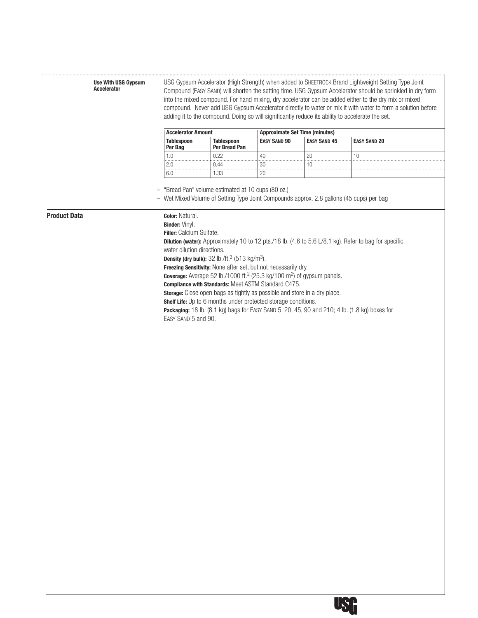Use With USG Gypsum USG Gypsum Accelerator (High Strength) when added to SHEETROCK Brand Lightweight Setting Type Joint<br>Accelerator Compound (EASY SAND) will shorten the setting time USG Gynsum Accelerator should be sprink Compound (EASY SAND) will shorten the setting time. USG Gypsum Accelerator should be sprinkled in dry form into the mixed compound. For hand mixing, dry accelerator can be added either to the dry mix or mixed compound. Never add USG Gypsum Accelerator directly to water or mix it with water to form a solution before adding it to the compound. Doing so will significantly reduce its ability to accelerate the set.

| <b>Accelerator Amount</b> |                       | <b>Approximate Set Time (minutes)</b> |                     |                     |                     |
|---------------------------|-----------------------|---------------------------------------|---------------------|---------------------|---------------------|
|                           | Tablespoon<br>Per Bag | Tablespoon<br>Per Bread Pan           | <b>EASY SAND 90</b> | <b>EASY SAND 45</b> | <b>EASY SAND 20</b> |
|                           |                       | በ 22                                  | 40                  | 20                  |                     |
|                           | 12.0                  | 0.44                                  | 30                  |                     |                     |
|                           | -6.0                  | .33                                   | 20                  |                     |                     |

– "Bread Pan" volume estimated at 10 cups (80 oz.)

– Wet Mixed Volume of Setting Type Joint Compounds approx. 2.8 gallons (45 cups) per bag

Product Data **Color: Natural.** 

Binder: Vinyl.

Filler: Calcium Sulfate.

Dilution (water): Approximately 10 to 12 pts./18 lb. (4.6 to 5.6 L/8.1 kg). Refer to bag for specific water dilution directions.

Density (dry bulk):  $32$  lb./ft. $3$  (513 kg/m $3$ ).

Freezing Sensitivity: None after set, but not necessarily dry.

**Coverage:** Average 52 lb./1000 ft.<sup>2</sup> (25.3 kg/100 m<sup>2</sup>) of gypsum panels.

Compliance with Standards: Meet ASTM Standard C475.

**Storage:** Close open bags as tightly as possible and store in a dry place.

**Shelf Life:** Up to 6 months under protected storage conditions.

**Packaging:** 18 lb. (8.1 kg) bags for EASY SAND 5, 20, 45, 90 and 210; 4 lb. (1.8 kg) boxes for EASY SAND 5 and 90.